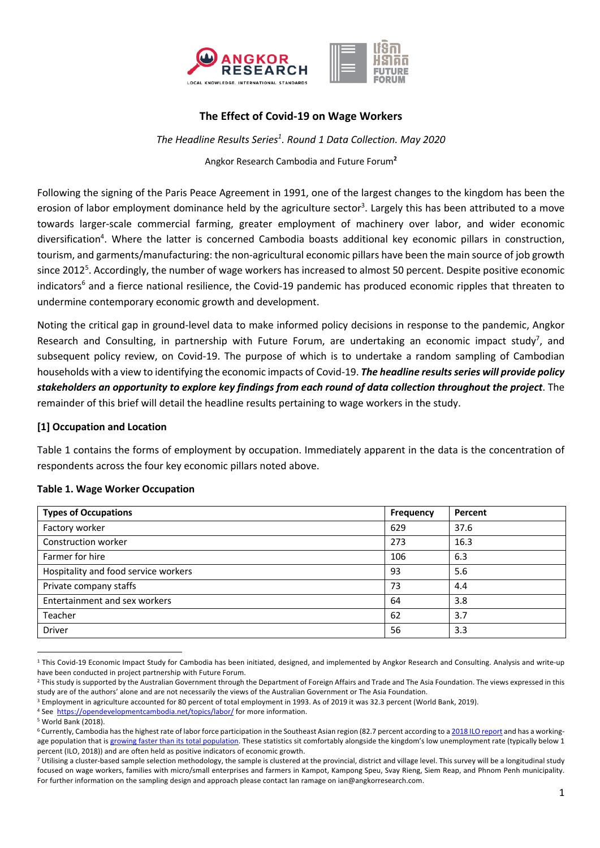

## **The Effect of Covid-19 on Wage Workers**

*The Headline Results Series1 . Round 1 Data Collection. May 2020* Angkor Research Cambodia and Future Forum**<sup>2</sup>**

Following the signing of the Paris Peace Agreement in 1991, one of the largest changes to the kingdom has been the erosion of labor employment dominance held by the agriculture sector<sup>3</sup>. Largely this has been attributed to a move towards larger-scale commercial farming, greater employment of machinery over labor, and wider economic diversification<sup>4</sup>. Where the latter is concerned Cambodia boasts additional key economic pillars in construction, tourism, and garments/manufacturing: the non-agricultural economic pillars have been the main source of job growth since 2012<sup>5</sup>. Accordingly, the number of wage workers has increased to almost 50 percent. Despite positive economic indicators<sup>6</sup> and a fierce national resilience, the Covid-19 pandemic has produced economic ripples that threaten to undermine contemporary economic growth and development.

Noting the critical gap in ground-level data to make informed policy decisions in response to the pandemic, Angkor Research and Consulting, in partnership with Future Forum, are undertaking an economic impact study<sup>7</sup>, and subsequent policy review, on Covid-19. The purpose of which is to undertake a random sampling of Cambodian households with a view to identifying the economic impacts of Covid-19. *The headline results series will provide policy stakeholders an opportunity to explore key findings from each round of data collection throughout the project*. The remainder of this brief will detail the headline results pertaining to wage workers in the study.

### **[1] Occupation and Location**

Table 1 contains the forms of employment by occupation. Immediately apparent in the data is the concentration of respondents across the four key economic pillars noted above.

| <b>Types of Occupations</b>          | Frequency | Percent |  |
|--------------------------------------|-----------|---------|--|
| Factory worker                       | 629       | 37.6    |  |
| Construction worker                  | 273       | 16.3    |  |
| Farmer for hire                      | 106       | 6.3     |  |
| Hospitality and food service workers | 93        | 5.6     |  |
| Private company staffs               | 73        | 4.4     |  |
| Entertainment and sex workers        | 64        | 3.8     |  |
| Teacher                              | 62        | 3.7     |  |
| <b>Driver</b>                        | 56        | 3.3     |  |

### **Table 1. Wage Worker Occupation**

<sup>&</sup>lt;sup>1</sup> This Covid-19 Economic Impact Study for Cambodia has been initiated, designed, and implemented by Angkor Research and Consulting. Analysis and write-up have been conducted in project partnership with Future Forum.

<sup>&</sup>lt;sup>2</sup> This study is supported by the Australian Government through the Department of Foreign Affairs and Trade and The Asia Foundation. The views expressed in this study are of the authors' alone and are not necessarily the views of the Australian Government or The Asia Foundation.

<sup>3</sup> Employment in agriculture accounted for 80 percent of total employment in 1993. As of 2019 it was 32.3 percent (World Bank, 2019).

<sup>4</sup> See https://opendevelopmentcambodia.net/topics/labor/ for more information.<br>5 World Bank (2018).

<sup>&</sup>lt;sup>6</sup> Currently, Cambodia has the highest rate of labor force participation in the Southeast Asian region (82.7 percent according to a 2018 ILO report and has a workingage population that is growing faster than its total population. These statistics sit comfortably alongside the kingdom's low unemployment rate (typically below 1 percent (ILO, 2018)) and are often held as positive indicators of economic growth.

<sup>&</sup>lt;sup>7</sup> Utilising a cluster-based sample selection methodology, the sample is clustered at the provincial, district and village level. This survey will be a longitudinal study focused on wage workers, families with micro/small enterprises and farmers in Kampot, Kampong Speu, Svay Rieng, Siem Reap, and Phnom Penh municipality. For further information on the sampling design and approach please contact Ian ramage on ian@angkorresearch.com.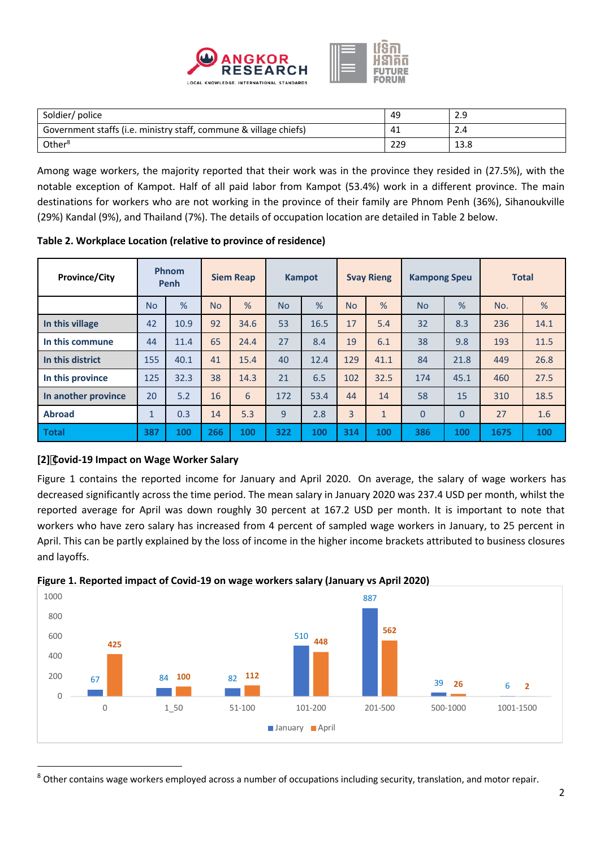

| Soldier/ police                                                   | 49  | 2.9  |
|-------------------------------------------------------------------|-----|------|
| Government staffs (i.e. ministry staff, commune & village chiefs) | -41 | 2.4  |
| Other <sup>8</sup>                                                | 229 | 13.8 |

Among wage workers, the majority reported that their work was in the province they resided in (27.5%), with the notable exception of Kampot. Half of all paid labor from Kampot (53.4%) work in a different province. The main destinations for workers who are not working in the province of their family are Phnom Penh (36%), Sihanoukville (29%) Kandal (9%), and Thailand (7%). The details of occupation location are detailed in Table 2 below.

| <b>Province/City</b> | Phnom<br>Penh |               | <b>Siem Reap</b> |      | <b>Kampot</b> |               | <b>Svay Rieng</b> |              | <b>Kampong Speu</b> |                | <b>Total</b> |      |
|----------------------|---------------|---------------|------------------|------|---------------|---------------|-------------------|--------------|---------------------|----------------|--------------|------|
|                      | <b>No</b>     | $\frac{9}{6}$ | <b>No</b>        | %    | <b>No</b>     | $\frac{9}{6}$ | <b>No</b>         | %            | <b>No</b>           | $\frac{9}{6}$  | No.          | %    |
| In this village      | 42            | 10.9          | 92               | 34.6 | 53            | 16.5          | 17                | 5.4          | 32                  | 8.3            | 236          | 14.1 |
| In this commune      | 44            | 11.4          | 65               | 24.4 | 27            | 8.4           | 19                | 6.1          | 38                  | 9.8            | 193          | 11.5 |
| In this district     | 155           | 40.1          | 41               | 15.4 | 40            | 12.4          | 129               | 41.1         | 84                  | 21.8           | 449          | 26.8 |
| In this province     | 125           | 32.3          | 38               | 14.3 | 21            | 6.5           | 102               | 32.5         | 174                 | 45.1           | 460          | 27.5 |
| In another province  | 20            | 5.2           | 16               | 6    | 172           | 53.4          | 44                | 14           | 58                  | 15             | 310          | 18.5 |
| <b>Abroad</b>        | $\mathbf{1}$  | 0.3           | 14               | 5.3  | 9             | 2.8           | 3                 | $\mathbf{1}$ | $\Omega$            | $\overline{0}$ | 27           | 1.6  |
| <b>Total</b>         | 387           | 100           | 266              | 100  | 322           | 100           | 314               | 100          | 386                 | 100            | 1675         | 100  |

**Table 2. Workplace Location (relative to province of residence)**

# **[2] Covid-19 Impact on Wage Worker Salary**

Figure 1 contains the reported income for January and April 2020. On average, the salary of wage workers has decreased significantly across the time period. The mean salary in January 2020 was 237.4 USD per month, whilst the reported average for April was down roughly 30 percent at 167.2 USD per month. It is important to note that workers who have zero salary has increased from 4 percent of sampled wage workers in January, to 25 percent in April. This can be partly explained by the loss of income in the higher income brackets attributed to business closures and layoffs.



**Figure 1. Reported impact of Covid-19 on wage workers salary (January vs April 2020)** 

<sup>&</sup>lt;sup>8</sup> Other contains wage workers employed across a number of occupations including security, translation, and motor repair.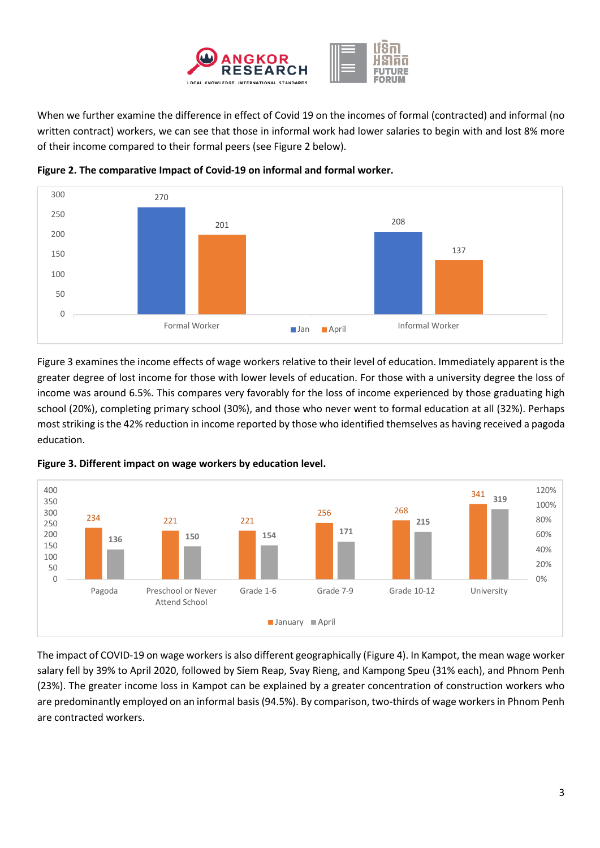

When we further examine the difference in effect of Covid 19 on the incomes of formal (contracted) and informal (no written contract) workers, we can see that those in informal work had lower salaries to begin with and lost 8% more of their income compared to their formal peers (see Figure 2 below).



**Figure 2. The comparative Impact of Covid-19 on informal and formal worker.**

Figure 3 examines the income effects of wage workers relative to their level of education. Immediately apparent is the greater degree of lost income for those with lower levels of education. For those with a university degree the loss of income was around 6.5%. This compares very favorably for the loss of income experienced by those graduating high school (20%), completing primary school (30%), and those who never went to formal education at all (32%). Perhaps most striking is the 42% reduction in income reported by those who identified themselves as having received a pagoda education.



**Figure 3. Different impact on wage workers by education level.**

The impact of COVID-19 on wage workers is also different geographically (Figure 4). In Kampot, the mean wage worker salary fell by 39% to April 2020, followed by Siem Reap, Svay Rieng, and Kampong Speu (31% each), and Phnom Penh (23%). The greater income loss in Kampot can be explained by a greater concentration of construction workers who are predominantly employed on an informal basis (94.5%). By comparison, two-thirds of wage workers in Phnom Penh are contracted workers.